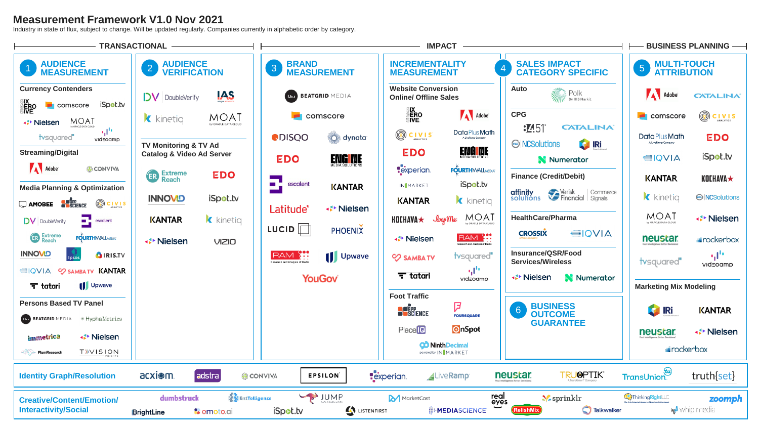# **Measurement Framework V1.0 Nov 2021**

Industry in state of flux, subject to change. Will be updated regularly. Companies currently in alphabetic order by category.